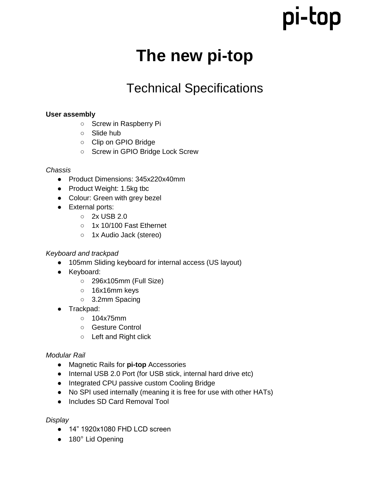## pi-top

### **The new pi-top**

### Technical Specifications

#### **User assembly**

- Screw in Raspberry Pi
- Slide hub
- Clip on GPIO Bridge
- Screw in GPIO Bridge Lock Screw

#### *Chassis*

- Product Dimensions: 345x220x40mm
- Product Weight: 1.5kg tbc
- Colour: Green with grey bezel
- External ports:
	- 2x USB 2.0
	- 1x 10/100 Fast Ethernet
	- 1x Audio Jack (stereo)

#### *Keyboard and trackpad*

- 105mm Sliding keyboard for internal access (US layout)
- Keyboard:
	- 296x105mm (Full Size)
	- 16x16mm keys
	- 3.2mm Spacing
- Trackpad:
	- 104x75mm
	- Gesture Control
	- Left and Right click

#### *Modular Rail*

- Magnetic Rails for **pi-top** Accessories
- Internal USB 2.0 Port (for USB stick, internal hard drive etc)
- Integrated CPU passive custom Cooling Bridge
- No SPI used internally (meaning it is free for use with other HATs)
- Includes SD Card Removal Tool

*Display*

- 14" 1920x1080 FHD LCD screen
- 180° Lid Opening